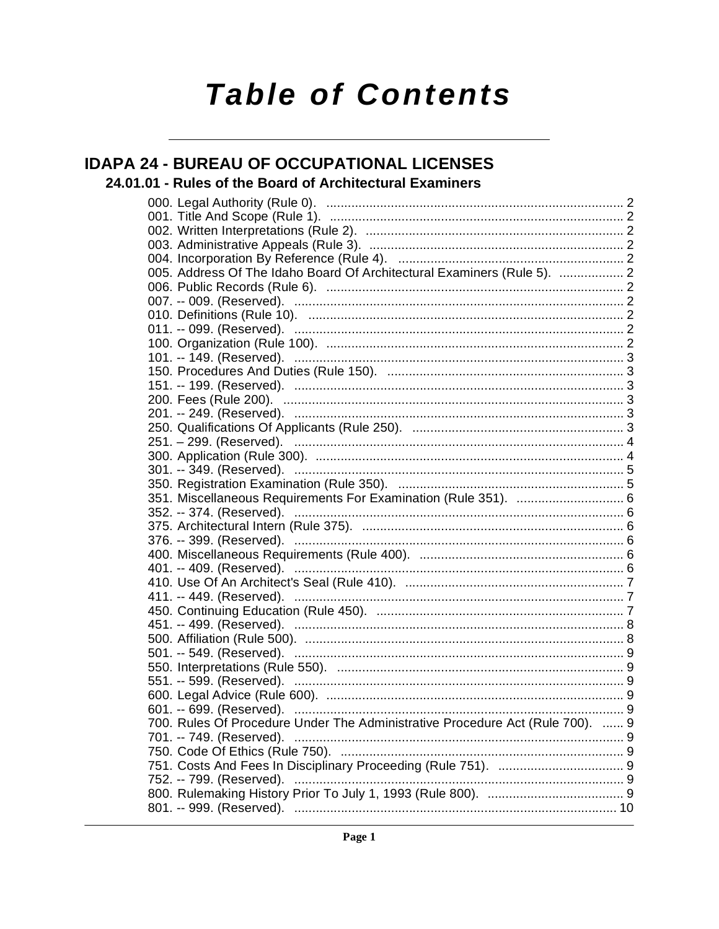# **Table of Contents**

### **IDAPA 24 - BUREAU OF OCCUPATIONAL LICENSES**

### 24.01.01 - Rules of the Board of Architectural Examiners

|  | 005. Address Of The Idaho Board Of Architectural Examiners (Rule 5).  2       |  |
|--|-------------------------------------------------------------------------------|--|
|  |                                                                               |  |
|  |                                                                               |  |
|  |                                                                               |  |
|  |                                                                               |  |
|  |                                                                               |  |
|  |                                                                               |  |
|  |                                                                               |  |
|  |                                                                               |  |
|  |                                                                               |  |
|  |                                                                               |  |
|  |                                                                               |  |
|  |                                                                               |  |
|  |                                                                               |  |
|  |                                                                               |  |
|  |                                                                               |  |
|  | 351. Miscellaneous Requirements For Examination (Rule 351).  6                |  |
|  |                                                                               |  |
|  |                                                                               |  |
|  |                                                                               |  |
|  |                                                                               |  |
|  |                                                                               |  |
|  |                                                                               |  |
|  |                                                                               |  |
|  |                                                                               |  |
|  |                                                                               |  |
|  |                                                                               |  |
|  |                                                                               |  |
|  |                                                                               |  |
|  |                                                                               |  |
|  |                                                                               |  |
|  |                                                                               |  |
|  | 700. Rules Of Procedure Under The Administrative Procedure Act (Rule 700).  9 |  |
|  | 701. -- 749. (Reserved).                                                      |  |
|  |                                                                               |  |
|  |                                                                               |  |
|  | 752. -- 799. (Reserved).                                                      |  |
|  |                                                                               |  |
|  |                                                                               |  |
|  |                                                                               |  |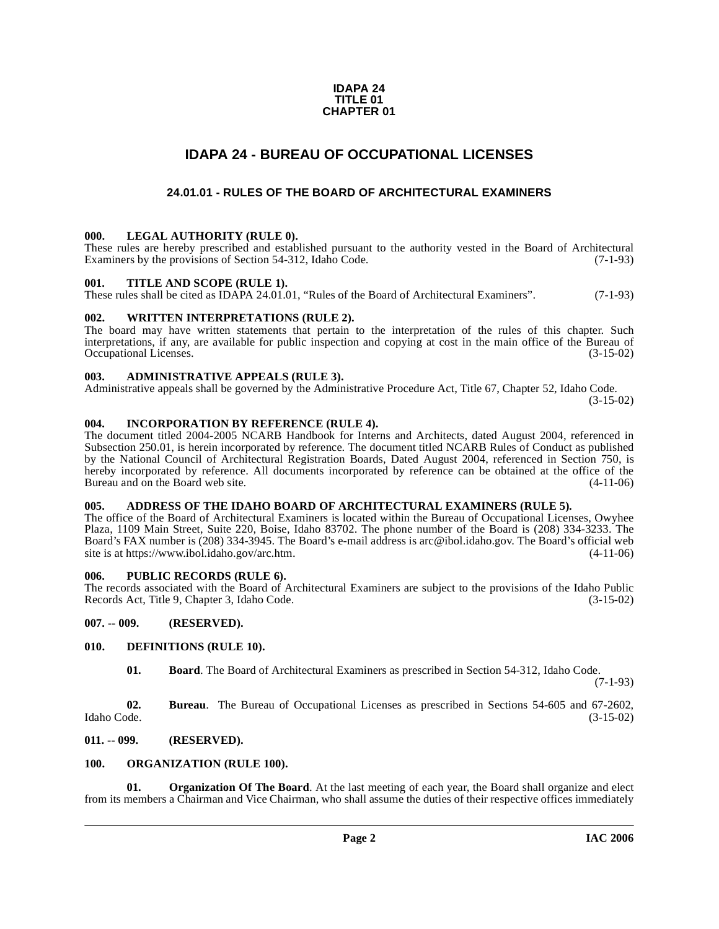### **IDAPA 24 TITLE 01 CHAPTER 01**

### **IDAPA 24 - BUREAU OF OCCUPATIONAL LICENSES**

### **24.01.01 - RULES OF THE BOARD OF ARCHITECTURAL EXAMINERS**

### <span id="page-1-2"></span><span id="page-1-1"></span><span id="page-1-0"></span>**000. LEGAL AUTHORITY (RULE 0).**

These rules are hereby prescribed and established pursuant to the authority vested in the Board of Architectural Examiners by the provisions of Section 54-312, Idaho Code. (7-1-93)

### <span id="page-1-3"></span>**001. TITLE AND SCOPE (RULE 1).**

These rules shall be cited as IDAPA 24.01.01, "Rules of the Board of Architectural Examiners". (7-1-93)

### <span id="page-1-4"></span>**002. WRITTEN INTERPRETATIONS (RULE 2).**

The board may have written statements that pertain to the interpretation of the rules of this chapter. Such interpretations, if any, are available for public inspection and copying at cost in the main office of the Bureau of Occupational Licenses. (3-15-02) Occupational Licenses.

### <span id="page-1-5"></span>**003. ADMINISTRATIVE APPEALS (RULE 3).**

Administrative appeals shall be governed by the Administrative Procedure Act, Title 67, Chapter 52, Idaho Code.

(3-15-02)

### <span id="page-1-6"></span>**004. INCORPORATION BY REFERENCE (RULE 4).**

The document titled 2004-2005 NCARB Handbook for Interns and Architects, dated August 2004, referenced in Subsection 250.01, is herein incorporated by reference. The document titled NCARB Rules of Conduct as published by the National Council of Architectural Registration Boards, Dated August 2004, referenced in Section 750, is hereby incorporated by reference. All documents incorporated by reference can be obtained at the office of the Bureau and on the Board web site. (4-11-06) Bureau and on the Board web site.

### <span id="page-1-7"></span>**005. ADDRESS OF THE IDAHO BOARD OF ARCHITECTURAL EXAMINERS (RULE 5).**

[The office of the Board of Architectural Examiners is located within the Bureau of Occupational Licenses, Owyhee](mailto:arc@ibol.idaho.gov) Plaza, 1109 Main Street, Suite 220, Boise, Idaho 83702. The phone number of the Board is (208) 334-3233. The Board's FAX number is (208) 334-3945. The Board's e-mail address is arc@ibol.idaho.gov. The Board's official web [site is at](mailto:arc@ibol.idaho.gov) https://www.ibol.idaho.gov/arc.htm.

### <span id="page-1-8"></span>**006. PUBLIC RECORDS (RULE 6).**

The records associated with the Board of Architectural Examiners are subject to the provisions of the Idaho Public Records Act, Title 9, Chapter 3, Idaho Code. (3-15-02)

### <span id="page-1-9"></span>**007. -- 009. (RESERVED).**

### <span id="page-1-10"></span>**010. DEFINITIONS (RULE 10).**

<span id="page-1-13"></span>**01. Board**. The Board of Architectural Examiners as prescribed in Section 54-312, Idaho Code.

(7-1-93)

**02. Bureau**. The Bureau of Occupational Licenses as prescribed in Sections 54-605 and 67-2602, Idaho Code. (3-15-02)

### <span id="page-1-11"></span>**011. -- 099. (RESERVED).**

### <span id="page-1-14"></span><span id="page-1-12"></span>**100. ORGANIZATION (RULE 100).**

<span id="page-1-15"></span>**01. Organization Of The Board**. At the last meeting of each year, the Board shall organize and elect from its members a Chairman and Vice Chairman, who shall assume the duties of their respective offices immediately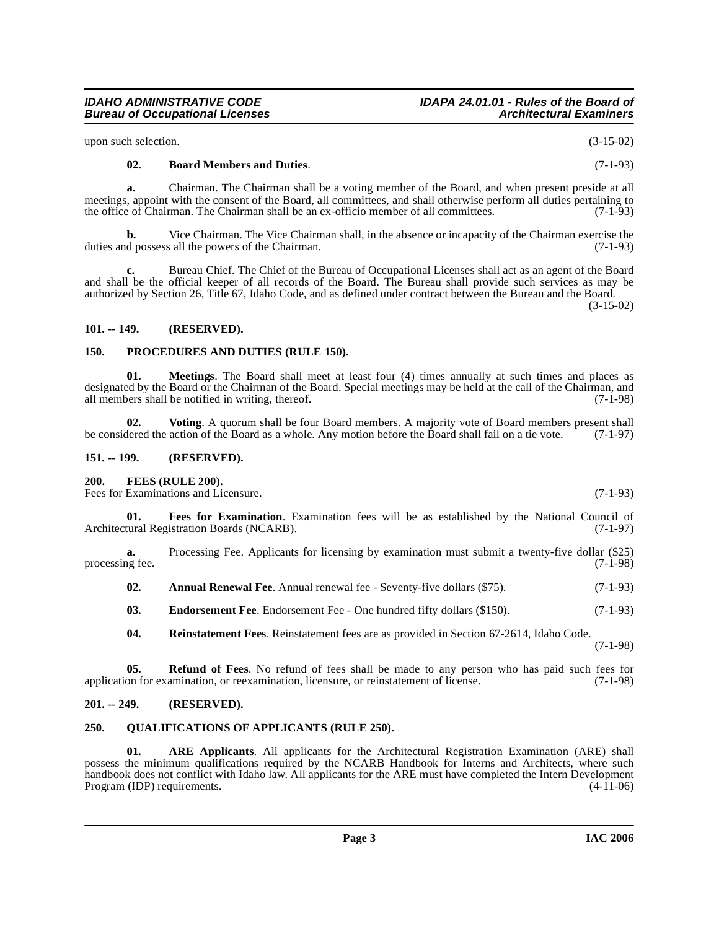upon such selection. (3-15-02)

**Bureau of Occupational Licenses** 

#### <span id="page-2-8"></span>**02. Board Members and Duties**. (7-1-93)

**a.** Chairman. The Chairman shall be a voting member of the Board, and when present preside at all meetings, appoint with the consent of the Board, all committees, and shall otherwise perform all duties pertaining to<br>the office of Chairman. The Chairman shall be an ex-officio member of all committees. (7-1-93) the office of Chairman. The Chairman shall be an ex-officio member of all committees.

**b.** Vice Chairman. The Vice Chairman shall, in the absence or incapacity of the Chairman exercise the duties and possess all the powers of the Chairman. (7-1-93)

**c.** Bureau Chief. The Chief of the Bureau of Occupational Licenses shall act as an agent of the Board and shall be the official keeper of all records of the Board. The Bureau shall provide such services as may be authorized by Section 26, Title 67, Idaho Code, and as defined under contract between the Bureau and the Board.

(3-15-02)

### <span id="page-2-0"></span>**101. -- 149. (RESERVED).**

### <span id="page-2-13"></span><span id="page-2-1"></span>**150. PROCEDURES AND DUTIES (RULE 150).**

<span id="page-2-12"></span>**01. Meetings**. The Board shall meet at least four (4) times annually at such times and places as designated by the Board or the Chairman of the Board. Special meetings may be held at the call of the Chairman, and all members shall be notified in writing, thereof. (7-1-98) all members shall be notified in writing, thereof.

<span id="page-2-17"></span>**02.** Voting. A quorum shall be four Board members. A majority vote of Board members present shall dered the action of the Board as a whole. Any motion before the Board shall fail on a tie vote. (7-1-97) be considered the action of the Board as a whole. Any motion before the Board shall fail on a tie vote.

### <span id="page-2-2"></span>**151. -- 199. (RESERVED).**

### <span id="page-2-10"></span><span id="page-2-3"></span>**200. FEES (RULE 200).**

Fees for Examinations and Licensure. (7-1-93)

<span id="page-2-11"></span>**01. Fees for Examination**. Examination fees will be as established by the National Council of Architectural Registration Boards (NCARB). (7-1-97)

**a.** Processing Fee. Applicants for licensing by examination must submit a twenty-five dollar (\$25) processing fee. (7-1-98)

<span id="page-2-7"></span>**02.** Annual Renewal Fee. Annual renewal fee - Seventy-five dollars (\$75). (7-1-93)

<span id="page-2-9"></span>**03.** Endorsement Fee. Endorsement Fee - One hundred fifty dollars (\$150). (7-1-93)

<span id="page-2-16"></span><span id="page-2-15"></span>**04. Reinstatement Fees**. Reinstatement fees are as provided in Section 67-2614, Idaho Code. (7-1-98)

**05. Refund of Fees**. No refund of fees shall be made to any person who has paid such fees for application for examination, or reexamination, licensure, or reinstatement of license. (7-1-98)

### <span id="page-2-4"></span>**201. -- 249. (RESERVED).**

### <span id="page-2-14"></span><span id="page-2-5"></span>**250. QUALIFICATIONS OF APPLICANTS (RULE 250).**

<span id="page-2-6"></span>**01. ARE Applicants**. All applicants for the Architectural Registration Examination (ARE) shall possess the minimum qualifications required by the NCARB Handbook for Interns and Architects, where such handbook does not conflict with Idaho law. All applicants for the ARE must have completed the Intern Development<br>Program (IDP) requirements. (4-11-06) Program (IDP) requirements.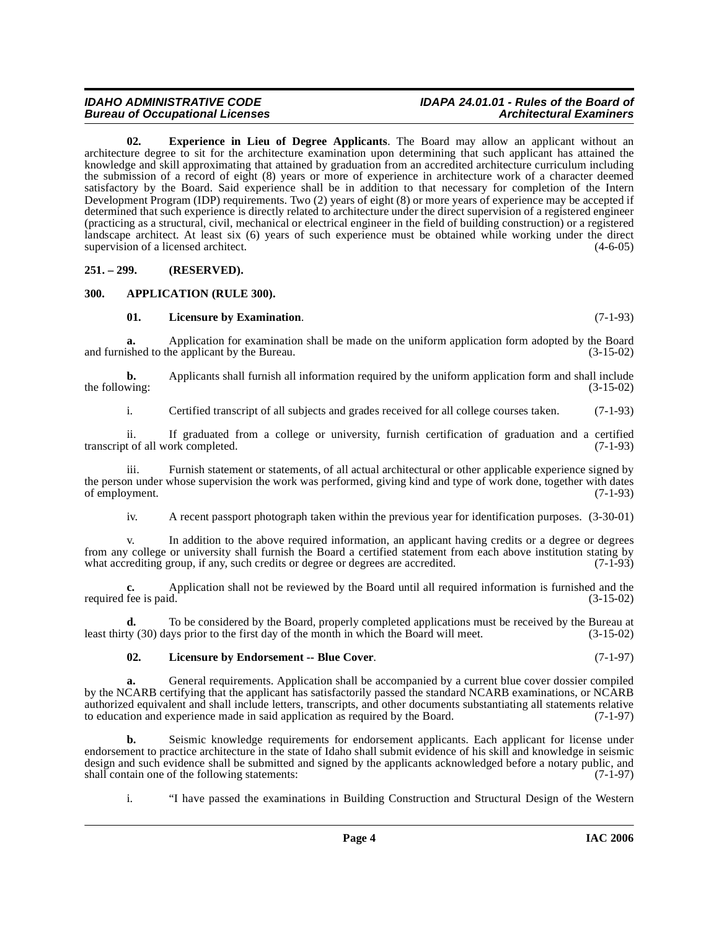### **Bureau of Occupational Licenses**

### **IDAHO ADMINISTRATIVE CODE IDAPA 24.01.01 - Rules of the Board of**

<span id="page-3-3"></span>**02. Experience in Lieu of Degree Applicants**. The Board may allow an applicant without an architecture degree to sit for the architecture examination upon determining that such applicant has attained the knowledge and skill approximating that attained by graduation from an accredited architecture curriculum including the submission of a record of eight (8) years or more of experience in architecture work of a character deemed satisfactory by the Board. Said experience shall be in addition to that necessary for completion of the Intern Development Program (IDP) requirements. Two (2) years of eight (8) or more years of experience may be accepted if determined that such experience is directly related to architecture under the direct supervision of a registered engineer (practicing as a structural, civil, mechanical or electrical engineer in the field of building construction) or a registered landscape architect. At least six (6) years of such experience must be obtained while working under the direct supervision of a licensed architect. (4-6-05)

<span id="page-3-0"></span>**251. – 299. (RESERVED).**

### <span id="page-3-1"></span>**300. APPLICATION (RULE 300).**

### <span id="page-3-4"></span><span id="page-3-2"></span>**01. Licensure by Examination**. (7-1-93)

**a.** Application for examination shall be made on the uniform application form adopted by the Board and furnished to the applicant by the Bureau. (3-15-02)

**b.** Applicants shall furnish all information required by the uniform application form and shall include wing:  $(3-15-02)$ the following:

i. Certified transcript of all subjects and grades received for all college courses taken. (7-1-93)

ii. If graduated from a college or university, furnish certification of graduation and a certified transcript of all work completed.

iii. Furnish statement or statements, of all actual architectural or other applicable experience signed by the person under whose supervision the work was performed, giving kind and type of work done, together with dates of employment. (7-1-93) of employment.

iv. A recent passport photograph taken within the previous year for identification purposes. (3-30-01)

v. In addition to the above required information, an applicant having credits or a degree or degrees from any college or university shall furnish the Board a certified statement from each above institution stating by what accrediting group, if any, such credits or degree or degrees are accredited. (7-1-93) what accrediting group, if any, such credits or degree or degrees are accredited.

**c.** Application shall not be reviewed by the Board until all required information is furnished and the fee is paid.  $(3-15-02)$ required fee is paid.

**d.** To be considered by the Board, properly completed applications must be received by the Bureau at least thirty (30) days prior to the first day of the month in which the Board will meet. (3-15-02)

### <span id="page-3-5"></span>**02. Licensure by Endorsement -- Blue Cover**. (7-1-97)

**a.** General requirements. Application shall be accompanied by a current blue cover dossier compiled by the NCARB certifying that the applicant has satisfactorily passed the standard NCARB examinations, or NCARB authorized equivalent and shall include letters, transcripts, and other documents substantiating all statements relative<br>to education and experience made in said application as required by the Board. (7-1-97) to education and experience made in said application as required by the Board.

**b.** Seismic knowledge requirements for endorsement applicants. Each applicant for license under endorsement to practice architecture in the state of Idaho shall submit evidence of his skill and knowledge in seismic design and such evidence shall be submitted and signed by the applicants acknowledged before a notary public, and shall contain one of the following statements: (7-1-97) shall contain one of the following statements:

i. "I have passed the examinations in Building Construction and Structural Design of the Western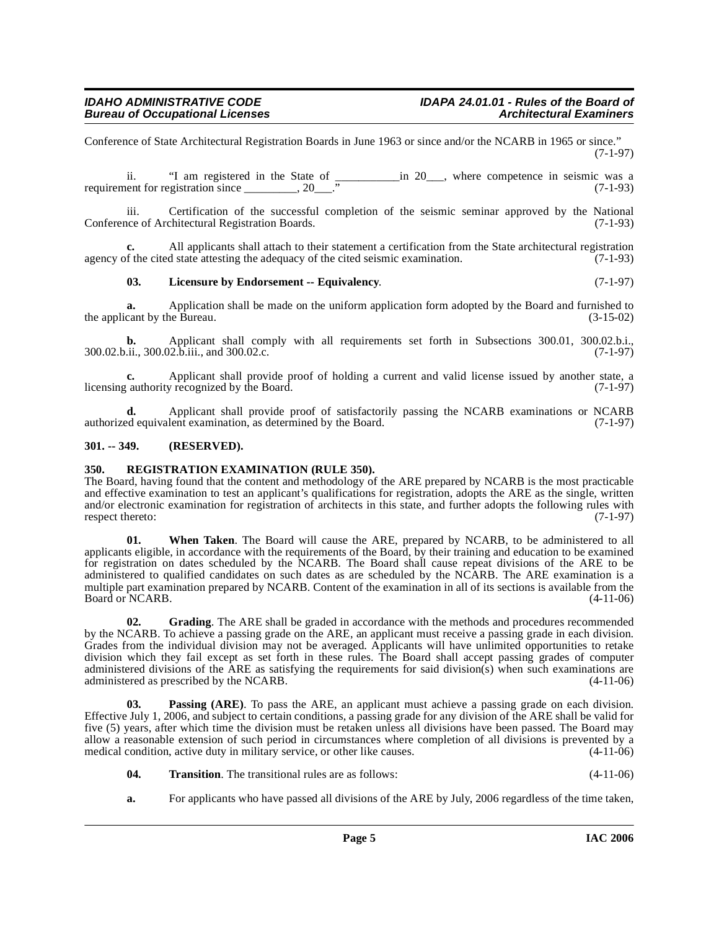Conference of State Architectural Registration Boards in June 1963 or since and/or the NCARB in 1965 or since." (7-1-97)

ii. "I am registered in the State of  $\frac{100}{100}$  m 20\_\_\_, where competence in seismic was a requirement for registration since \_\_\_\_\_\_\_\_, 20\_\_\_." (7-1-93)

iii. Certification of the successful completion of the seismic seminar approved by the National Conference of Architectural Registration Boards. (7-1-93)

**c.** All applicants shall attach to their statement a certification from the State architectural registration agency of the cited state attesting the adequacy of the cited seismic examination.  $(7-1-93)$ 

### <span id="page-4-3"></span>**03. Licensure by Endorsement -- Equivalency**. (7-1-97)

**a.** Application shall be made on the uniform application form adopted by the Board and furnished to cant by the Bureau. (3-15-02) the applicant by the Bureau.

**b.** Applicant shall comply with all requirements set forth in Subsections 300.01, 300.02.b.i., 300.02.b.ii., 300.02.b.iii., and 300.02.c. (7-1-97)

**c.** Applicant shall provide proof of holding a current and valid license issued by another state, a cauthority recognized by the Board. (7-1-97) licensing authority recognized by the Board.

**d.** Applicant shall provide proof of satisfactorily passing the NCARB examinations or NCARB authorized equivalent examination, as determined by the Board. (7-1-97)

### <span id="page-4-0"></span>**301. -- 349. (RESERVED).**

**Bureau of Occupational Licenses** 

### <span id="page-4-5"></span><span id="page-4-1"></span>**350. REGISTRATION EXAMINATION (RULE 350).**

The Board, having found that the content and methodology of the ARE prepared by NCARB is the most practicable and effective examination to test an applicant's qualifications for registration, adopts the ARE as the single, written and/or electronic examination for registration of architects in this state, and further adopts the following rules with respect thereto: (7-1-97)

**01. When Taken**. The Board will cause the ARE, prepared by NCARB, to be administered to all applicants eligible, in accordance with the requirements of the Board, by their training and education to be examined for registration on dates scheduled by the NCARB. The Board shall cause repeat divisions of the ARE to be administered to qualified candidates on such dates as are scheduled by the NCARB. The ARE examination is a multiple part examination prepared by NCARB. Content of the examination in all of its sections is available from the Board or NCARB. (4-11-06) Board or NCARB.

<span id="page-4-2"></span>**02. Grading**. The ARE shall be graded in accordance with the methods and procedures recommended by the NCARB. To achieve a passing grade on the ARE, an applicant must receive a passing grade in each division. Grades from the individual division may not be averaged. Applicants will have unlimited opportunities to retake division which they fail except as set forth in these rules. The Board shall accept passing grades of computer administered divisions of the ARE as satisfying the requirements for said division(s) when such examinations are administered as prescribed by the NCARB. (4-11-06)

<span id="page-4-4"></span>**03. Passing (ARE)**. To pass the ARE, an applicant must achieve a passing grade on each division. Effective July 1, 2006, and subject to certain conditions, a passing grade for any division of the ARE shall be valid for five (5) years, after which time the division must be retaken unless all divisions have been passed. The Board may allow a reasonable extension of such period in circumstances where completion of all divisions is prevented by a medical condition, active duty in military service, or other like causes. (4-11-06)

- <span id="page-4-6"></span>**04. Transition**. The transitional rules are as follows: (4-11-06)
- **a.** For applicants who have passed all divisions of the ARE by July, 2006 regardless of the time taken,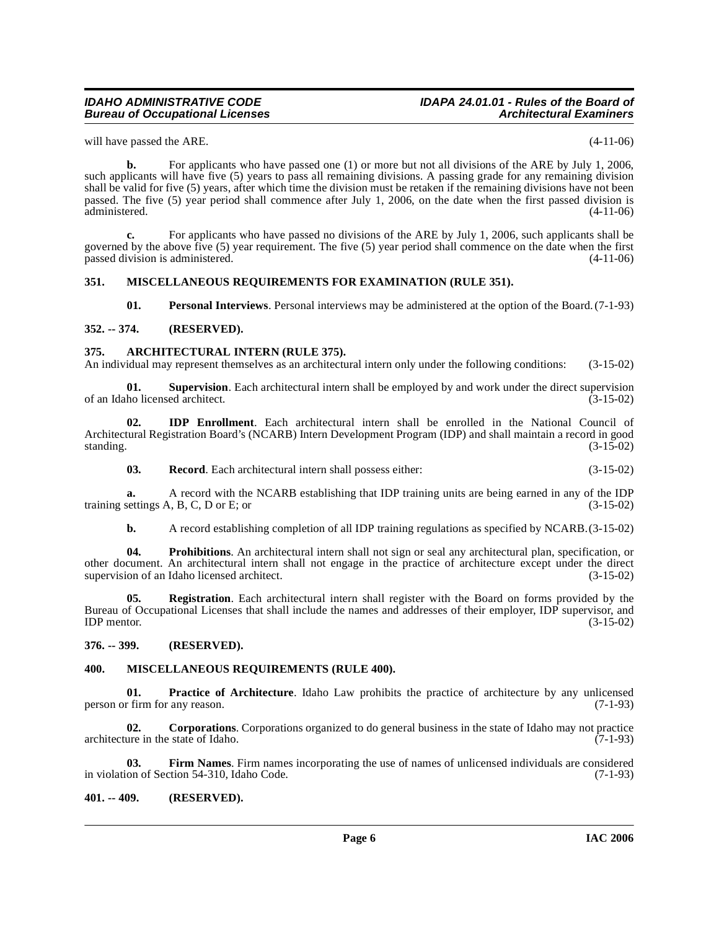### **Bureau of Occupational Licenses**

### **IDAHO ADMINISTRATIVE CODE IDAPA 24.01.01 - Rules of the Board of**

will have passed the ARE. (4-11-06)

**b.** For applicants who have passed one (1) or more but not all divisions of the ARE by July 1, 2006, such applicants will have five (5) years to pass all remaining divisions. A passing grade for any remaining division shall be valid for five (5) years, after which time the division must be retaken if the remaining divisions have not been passed. The five (5) year period shall commence after July 1, 2006, on the date when the first passed division is administered.

**c.** For applicants who have passed no divisions of the ARE by July 1, 2006, such applicants shall be governed by the above five (5) year requirement. The five (5) year period shall commence on the date when the first passed division is administered. (4-11-06)

### <span id="page-5-0"></span>**351. MISCELLANEOUS REQUIREMENTS FOR EXAMINATION (RULE 351).**

<span id="page-5-17"></span><span id="page-5-12"></span><span id="page-5-11"></span><span id="page-5-6"></span>**01. Personal Interviews**. Personal interviews may be administered at the option of the Board. (7-1-93)

### <span id="page-5-1"></span>**352. -- 374. (RESERVED).**

### <span id="page-5-2"></span>**375. ARCHITECTURAL INTERN (RULE 375).**

An individual may represent themselves as an architectural intern only under the following conditions: (3-15-02)

**01. Supervision**. Each architectural intern shall be employed by and work under the direct supervision ho licensed architect. (3-15-02) of an Idaho licensed architect.

**02. IDP Enrollment**. Each architectural intern shall be enrolled in the National Council of Architectural Registration Board's (NCARB) Intern Development Program (IDP) and shall maintain a record in good standing.  $(3-15-02)$ 

<span id="page-5-15"></span><span id="page-5-9"></span>**03. Record**. Each architectural intern shall possess either: (3-15-02)

**a.** A record with the NCARB establishing that IDP training units are being earned in any of the IDP settings A, B, C, D or E; or training settings  $A$ ,  $B$ ,  $C$ ,  $D$  or  $E$ ; or

<span id="page-5-16"></span><span id="page-5-14"></span>**b.** A record establishing completion of all IDP training regulations as specified by NCARB.(3-15-02)

**04. Prohibitions**. An architectural intern shall not sign or seal any architectural plan, specification, or other document. An architectural intern shall not engage in the practice of architecture except under the direct supervision of an Idaho licensed architect. (3-15-02)

**05. Registration**. Each architectural intern shall register with the Board on forms provided by the Bureau of Occupational Licenses that shall include the names and addresses of their employer, IDP supervisor, and IDP mentor. (3-15-02)  $IDP$  mentor.  $(3-15-02)$ 

### <span id="page-5-3"></span>**376. -- 399. (RESERVED).**

### <span id="page-5-13"></span><span id="page-5-10"></span><span id="page-5-4"></span>**400. MISCELLANEOUS REQUIREMENTS (RULE 400).**

**01. Practice of Architecture**. Idaho Law prohibits the practice of architecture by any unlicensed (7-1-93) person or firm for any reason.

<span id="page-5-7"></span>**02. Corporations**. Corporations organized to do general business in the state of Idaho may not practice architecture in the state of Idaho. (7-1-93)

<span id="page-5-8"></span>**03. Firm Names**. Firm names incorporating the use of names of unlicensed individuals are considered ion of Section 54-310, Idaho Code. (7-1-93) in violation of Section 54-310, Idaho Code.

### <span id="page-5-5"></span>**401. -- 409. (RESERVED).**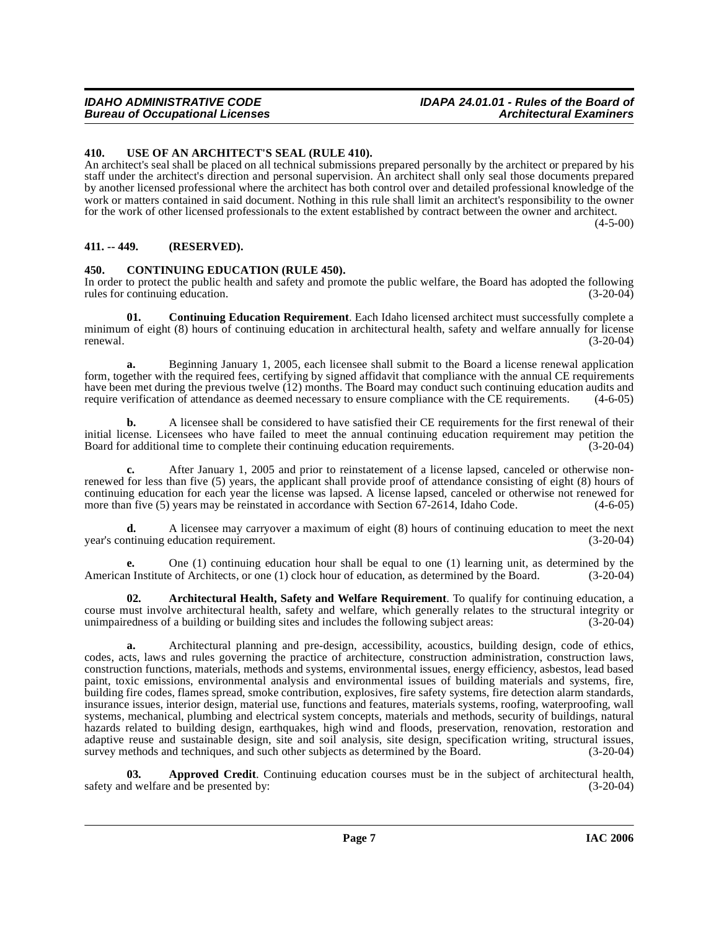### **IDAHO ADMINISTRATIVE CODE IDAPA 24.01.01 - Rules of the Board of**

### <span id="page-6-0"></span>**410. USE OF AN ARCHITECT'S SEAL (RULE 410).**

An architect's seal shall be placed on all technical submissions prepared personally by the architect or prepared by his staff under the architect's direction and personal supervision. An architect shall only seal those documents prepared by another licensed professional where the architect has both control over and detailed professional knowledge of the work or matters contained in said document. Nothing in this rule shall limit an architect's responsibility to the owner for the work of other licensed professionals to the extent established by contract between the owner and architect.

 $(4-5-00)$ 

### <span id="page-6-1"></span>**411. -- 449. (RESERVED).**

### <span id="page-6-4"></span><span id="page-6-2"></span>**450. CONTINUING EDUCATION (RULE 450).**

In order to protect the public health and safety and promote the public welfare, the Board has adopted the following rules for continuing education. (3-20-04)

<span id="page-6-5"></span>**01. Continuing Education Requirement**. Each Idaho licensed architect must successfully complete a minimum of eight (8) hours of continuing education in architectural health, safety and welfare annually for license<br>(3-20-04)  $r = (3-20-04)$ 

**a.** Beginning January 1, 2005, each licensee shall submit to the Board a license renewal application form, together with the required fees, certifying by signed affidavit that compliance with the annual CE requirements have been met during the previous twelve (12) months. The Board may conduct such continuing education audits and require verification of attendance as deemed necessary to ensure compliance with the CE requirements. (4-6-05 require verification of attendance as deemed necessary to ensure compliance with the CE requirements.

**b.** A licensee shall be considered to have satisfied their CE requirements for the first renewal of their initial license. Licensees who have failed to meet the annual continuing education requirement may petition the<br>Board for additional time to complete their continuing education requirements. (3-20-04) Board for additional time to complete their continuing education requirements.

**c.** After January 1, 2005 and prior to reinstatement of a license lapsed, canceled or otherwise nonrenewed for less than five (5) years, the applicant shall provide proof of attendance consisting of eight (8) hours of continuing education for each year the license was lapsed. A license lapsed, canceled or otherwise not renewed for more than five (5) years may be reinstated in accordance with Section 67-2614, Idaho Code.  $(4-6-05)$ 

**d.** A licensee may carryover a maximum of eight (8) hours of continuing education to meet the next (3-20-04) (3-20-04) year's continuing education requirement.

**e.** One (1) continuing education hour shall be equal to one (1) learning unit, as determined by the American Institute of Architects, or one (1) clock hour of education, as determined by the Board. (3-20-04)

<span id="page-6-3"></span>**02. Architectural Health, Safety and Welfare Requirement**. To qualify for continuing education, a course must involve architectural health, safety and welfare, which generally relates to the structural integrity or unimpairedness of a building or building sites and includes the following subject areas: (3-20-04) unimpairedness of a building or building sites and includes the following subject areas: (3-20-04)

**a.** Architectural planning and pre-design, accessibility, acoustics, building design, code of ethics, codes, acts, laws and rules governing the practice of architecture, construction administration, construction laws, construction functions, materials, methods and systems, environmental issues, energy efficiency, asbestos, lead based paint, toxic emissions, environmental analysis and environmental issues of building materials and systems, fire, building fire codes, flames spread, smoke contribution, explosives, fire safety systems, fire detection alarm standards, insurance issues, interior design, material use, functions and features, materials systems, roofing, waterproofing, wall systems, mechanical, plumbing and electrical system concepts, materials and methods, security of buildings, natural hazards related to building design, earthquakes, high wind and floods, preservation, renovation, restoration and adaptive reuse and sustainable design, site and soil analysis, site design, specification writing, structural issues, survey methods and techniques, and such other subjects as determined by the Board. (3-20-04)

**03. Approved Credit**. Continuing education courses must be in the subject of architectural health, d welfare and be presented by: (3-20-04) safety and welfare and be presented by: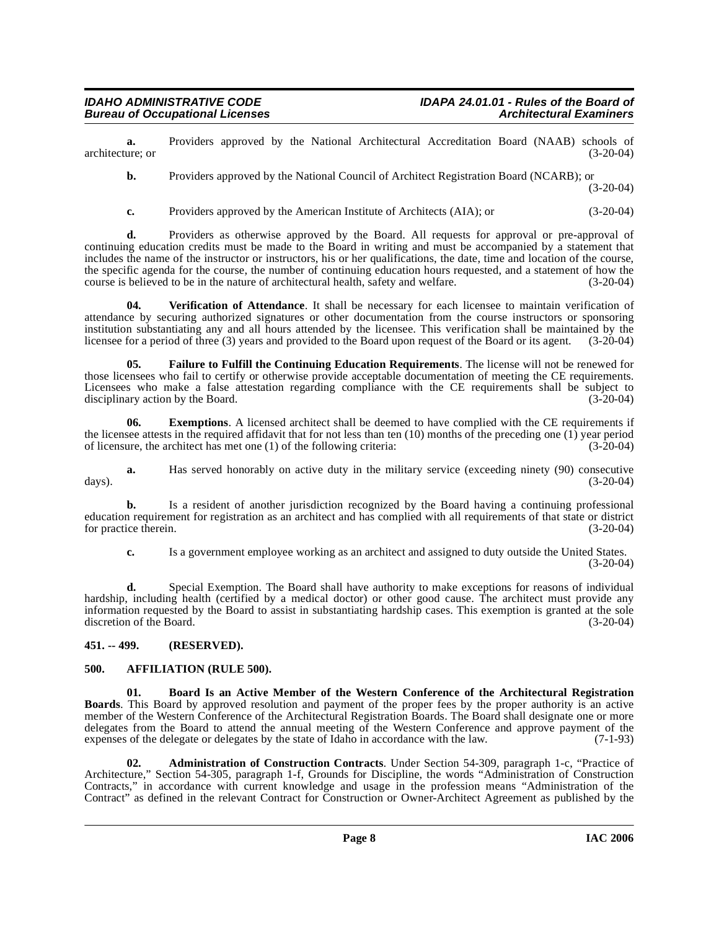**a.** Providers approved by the National Architectural Accreditation Board (NAAB) schools of (3-20-04) architecture; or

**b.** Providers approved by the National Council of Architect Registration Board (NCARB); or

(3-20-04)

**c.** Providers approved by the American Institute of Architects (AIA); or (3-20-04)

**d.** Providers as otherwise approved by the Board. All requests for approval or pre-approval of continuing education credits must be made to the Board in writing and must be accompanied by a statement that includes the name of the instructor or instructors, his or her qualifications, the date, time and location of the course, the specific agenda for the course, the number of continuing education hours requested, and a statement of how the course is believed to be in the nature of architectural health, safety and welfare. (3-20-04) course is believed to be in the nature of architectural health, safety and welfare.

<span id="page-7-6"></span>**04. Verification of Attendance**. It shall be necessary for each licensee to maintain verification of attendance by securing authorized signatures or other documentation from the course instructors or sponsoring institution substantiating any and all hours attended by the licensee. This verification shall be maintained by the licensee for a period of three (3) years and provided to the Board upon request of the Board or its agent. licensee for a period of three (3) years and provided to the Board upon request of the Board or its agent.

<span id="page-7-5"></span>**05. Failure to Fulfill the Continuing Education Requirements**. The license will not be renewed for those licensees who fail to certify or otherwise provide acceptable documentation of meeting the CE requirements. Licensees who make a false attestation regarding compliance with the CE requirements shall be subject to disciplinary action by the Board. (3-20-04) disciplinary action by the Board.

**06.** Exemptions. A licensed architect shall be deemed to have complied with the CE requirements if the licensee attests in the required affidavit that for not less than ten (10) months of the preceding one (1) year period of licensure, the architect has met one (1) of the following criteria:  $(3-20-04)$ of licensure, the architect has met one  $(1)$  of the following criteria:

**a.** Has served honorably on active duty in the military service (exceeding ninety (90) consecutive (3-20-04) days). (3-20-04)

**b.** Is a resident of another jurisdiction recognized by the Board having a continuing professional education requirement for registration as an architect and has complied with all requirements of that state or district for practice therein.

**c.** Is a government employee working as an architect and assigned to duty outside the United States. (3-20-04)

**d.** Special Exemption. The Board shall have authority to make exceptions for reasons of individual hardship, including health (certified by a medical doctor) or other good cause. The architect must provide any information requested by the Board to assist in substantiating hardship cases. This exemption is granted at the sole discretion of the Board. (3-20-04)

### <span id="page-7-0"></span>**451. -- 499. (RESERVED).**

### <span id="page-7-3"></span><span id="page-7-1"></span>**500. AFFILIATION (RULE 500).**

<span id="page-7-4"></span>**01. Board Is an Active Member of the Western Conference of the Architectural Registration Boards**. This Board by approved resolution and payment of the proper fees by the proper authority is an active member of the Western Conference of the Architectural Registration Boards. The Board shall designate one or more delegates from the Board to attend the annual meeting of the Western Conference and approve payment of the expenses of the delegate or delegates by the state of Idaho in accordance with the law. (7-1-93)

<span id="page-7-2"></span>**02. Administration of Construction Contracts**. Under Section 54-309, paragraph 1-c, "Practice of Architecture," Section 54-305, paragraph 1-f, Grounds for Discipline, the words "Administration of Construction Contracts," in accordance with current knowledge and usage in the profession means "Administration of the Contract" as defined in the relevant Contract for Construction or Owner-Architect Agreement as published by the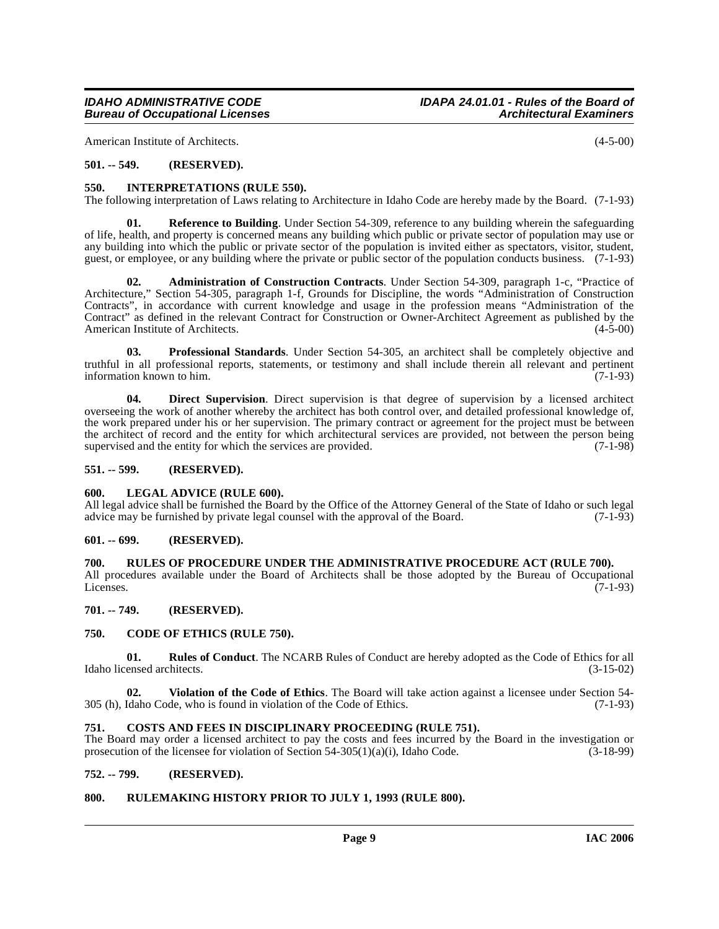American Institute of Architects. (4-5-00)

### <span id="page-8-0"></span>**501. -- 549. (RESERVED).**

### <span id="page-8-15"></span><span id="page-8-1"></span>**550. INTERPRETATIONS (RULE 550).**

The following interpretation of Laws relating to Architecture in Idaho Code are hereby made by the Board. (7-1-93)

<span id="page-8-18"></span>**01. Reference to Building**. Under Section 54-309, reference to any building wherein the safeguarding of life, health, and property is concerned means any building which public or private sector of population may use or any building into which the public or private sector of the population is invited either as spectators, visitor, student, guest, or employee, or any building where the private or public sector of the population conducts business. (7-1-93)

<span id="page-8-11"></span>**02. Administration of Construction Contracts**. Under Section 54-309, paragraph 1-c, "Practice of Architecture," Section 54-305, paragraph 1-f, Grounds for Discipline, the words "Administration of Construction Contracts", in accordance with current knowledge and usage in the profession means "Administration of the Contract" as defined in the relevant Contract for Construction or Owner-Architect Agreement as published by the American Institute of Architects.

<span id="page-8-17"></span>**03. Professional Standards**. Under Section 54-305, an architect shall be completely objective and truthful in all professional reports, statements, or testimony and shall include therein all relevant and pertinent information known to him. (7-1-93) information known to him.

<span id="page-8-14"></span>**04. Direct Supervision**. Direct supervision is that degree of supervision by a licensed architect overseeing the work of another whereby the architect has both control over, and detailed professional knowledge of, the work prepared under his or her supervision. The primary contract or agreement for the project must be between the architect of record and the entity for which architectural services are provided, not between the person being<br>supervised and the entity for which the services are provided. (7-1-98) supervised and the entity for which the services are provided.

### <span id="page-8-2"></span>**551. -- 599. (RESERVED).**

### <span id="page-8-16"></span><span id="page-8-3"></span>**600. LEGAL ADVICE (RULE 600).**

All legal advice shall be furnished the Board by the Office of the Attorney General of the State of Idaho or such legal advice may be furnished by private legal counsel with the approval of the Board. (7-1-93) advice may be furnished by private legal counsel with the approval of the Board.

### <span id="page-8-4"></span>**601. -- 699. (RESERVED).**

### <span id="page-8-5"></span>**700. RULES OF PROCEDURE UNDER THE ADMINISTRATIVE PROCEDURE ACT (RULE 700).**

All procedures available under the Board of Architects shall be those adopted by the Bureau of Occupational Licenses. (7-1-93) Licenses. (7-1-93)

### <span id="page-8-6"></span>**701. -- 749. (RESERVED).**

### <span id="page-8-12"></span><span id="page-8-7"></span>**750. CODE OF ETHICS (RULE 750).**

<span id="page-8-19"></span>**01. Rules of Conduct**. The NCARB Rules of Conduct are hereby adopted as the Code of Ethics for all ensed architects. (3-15-02) Idaho licensed architects.

<span id="page-8-20"></span>**02. Violation of the Code of Ethics**. The Board will take action against a licensee under Section 54- 305 (h), Idaho Code, who is found in violation of the Code of Ethics. (7-1-93)

### <span id="page-8-13"></span><span id="page-8-8"></span>**751. COSTS AND FEES IN DISCIPLINARY PROCEEDING (RULE 751).**

The Board may order a licensed architect to pay the costs and fees incurred by the Board in the investigation or prosecution of the licensee for violation of Section 54-305(1)(a)(i), Idaho Code.  $(3-18-99)$ 

### <span id="page-8-9"></span>**752. -- 799. (RESERVED).**

### <span id="page-8-10"></span>**800. RULEMAKING HISTORY PRIOR TO JULY 1, 1993 (RULE 800).**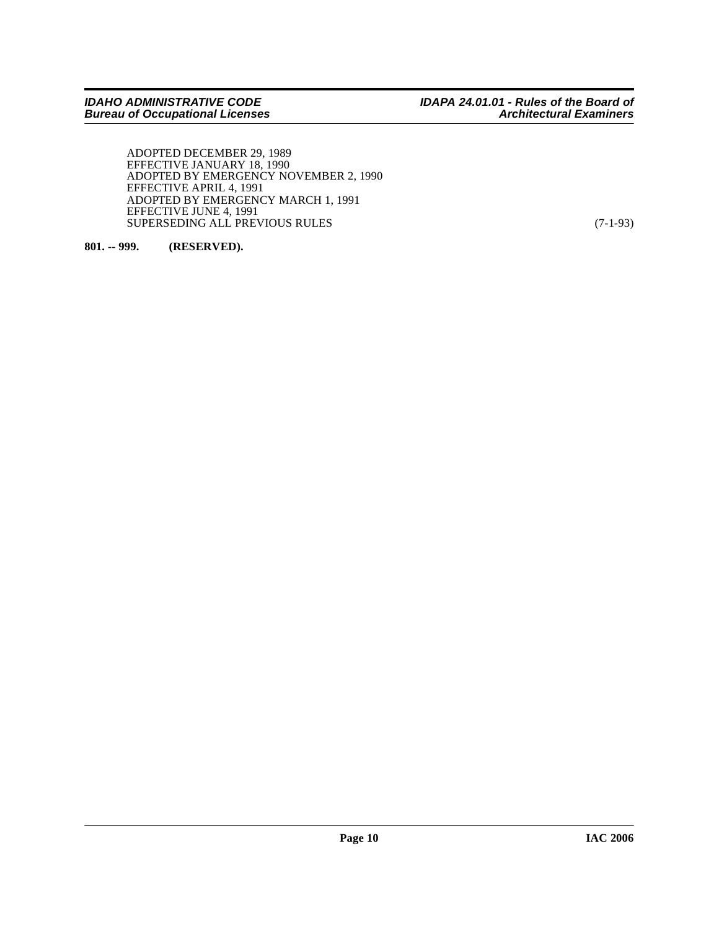ADOPTED DECEMBER 29, 1989 EFFECTIVE JANUARY 18, 1990 ADOPTED BY EMERGENCY NOVEMBER 2, 1990 EFFECTIVE APRIL 4, 1991 ADOPTED BY EMERGENCY MARCH 1, 1991 EFFECTIVE JUNE 4, 1991 SUPERSEDING ALL PREVIOUS RULES (7-1-93)

<span id="page-9-0"></span>**801. -- 999. (RESERVED).**